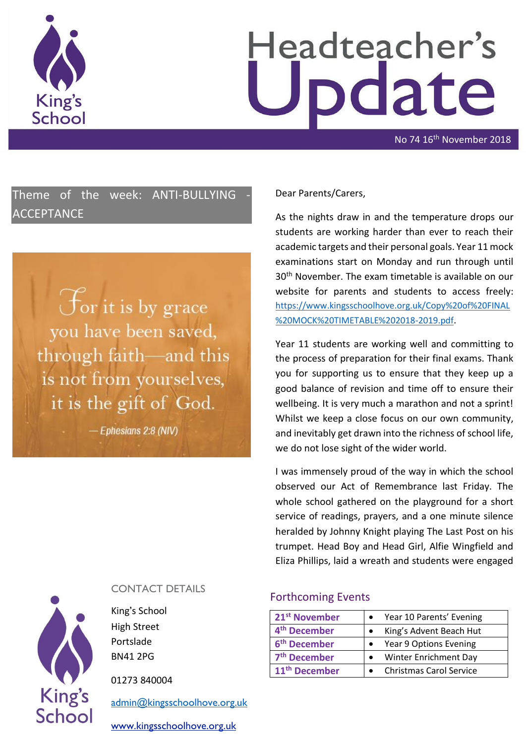

# Headteacher's date

No 74 16<sup>th</sup> November 2018

Theme of the week: ANTI-BULLYING ACCEPTANCE

> For it is by grace you have been saved, through faith-and this is not from yourselves, it is the gift of God.

> > $-$  Ephesians 2:8 (NIV)

## Dear Parents/Carers,

As the nights draw in and the temperature drops our students are working harder than ever to reach their academic targets and their personal goals. Year 11 mock examinations start on Monday and run through until 30th November. The exam timetable is available on our website for parents and students to access freely: [https://www.kingsschoolhove.org.uk/Copy%20of%20FINAL](https://www.kingsschoolhove.org.uk/Copy%20of%20FINAL%20MOCK%20TIMETABLE%202018-2019.pdf) [%20MOCK%20TIMETABLE%202018-2019.pdf](https://www.kingsschoolhove.org.uk/Copy%20of%20FINAL%20MOCK%20TIMETABLE%202018-2019.pdf).

Year 11 students are working well and committing to the process of preparation for their final exams. Thank you for supporting us to ensure that they keep up a good balance of revision and time off to ensure their wellbeing. It is very much a marathon and not a sprint! Whilst we keep a close focus on our own community, and inevitably get drawn into the richness of school life, we do not lose sight of the wider world.

I was immensely proud of the way in which the school observed our Act of Remembrance last Friday. The whole school gathered on the playground for a short service of readings, prayers, and a one minute silence heralded by Johnny Knight playing The Last Post on his trumpet. Head Boy and Head Girl, Alfie Wingfield and Eliza Phillips, laid a wreath and students were engaged

#### CONTACT DETAILS Forthcoming Events

**21st November** Year 10 Parents' Evening 4<sup>th</sup> December **•** King's Advent Beach Hut **6<sup>th</sup>** December **•** Year 9 Options Evening 7<sup>th</sup> December **•** Winter Enrichment Day 11<sup>th</sup> December **C Christmas Carol Service** 



High Street Portslade BN41 2PG

**King's** 

School

01273 840004

[admin@kingsschoolhove.org.uk](mailto:admin@kingsschoolhove.org.uk)

[www.kingsschoolhove.org.uk](http://www.kingsschoolhove.org.uk/)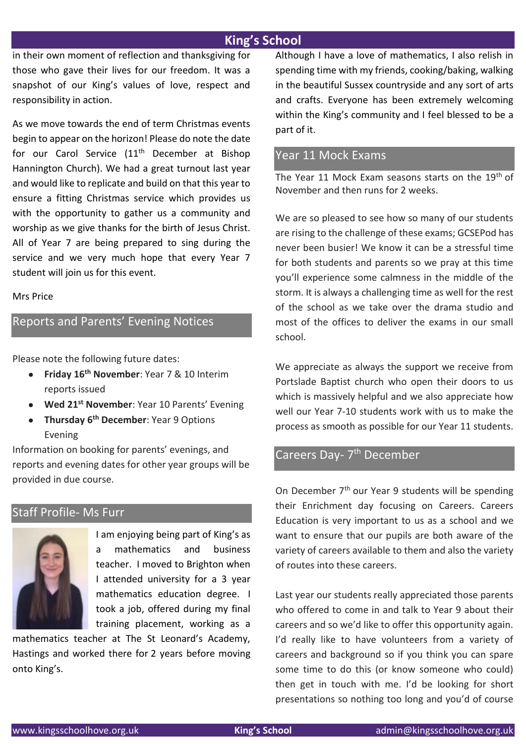# **King's School**

in their own moment of reflection and thanksgiving for those who gave their lives for our freedom. It was a snapshot of our King's values of love, respect and responsibility in action.

As we move towards the end of term Christmas events begin to appear on the horizon! Please do note the date for our Carol Service (11<sup>th</sup> December at Bishop Hannington Church). We had a great turnout last year and would like to replicate and build on that this year to ensure a fitting Christmas service which provides us with the opportunity to gather us a community and worship as we give thanks for the birth of Jesus Christ. All of Year 7 are being prepared to sing during the service and we very much hope that every Year 7 student will join us for this event.

#### Mrs Price

# Reports and Parents' Evening Notices

Please note the following future dates:

- **Friday 16th November**: Year 7 & 10 Interim reports issued
- **Wed 21st November**: Year 10 Parents' Evening
- **Thursday 6th December**: Year 9 Options Evening

Information on booking for parents' evenings, and reports and evening dates for other year groups will be provided in due course.

# Staff Profile- Ms Furr



I am enjoying being part of King's as a mathematics and business teacher. I moved to Brighton when I attended university for a 3 year mathematics education degree. I took a job, offered during my final training placement, working as a

mathematics teacher at The St Leonard's Academy, Hastings and worked there for 2 years before moving onto King's.

Although I have a love of mathematics, I also relish in spending time with my friends, cooking/baking, walking in the beautiful Sussex countryside and any sort of arts and crafts. Everyone has been extremely welcoming within the King's community and I feel blessed to be a part of it.

# Year 11 Mock Exams

The Year 11 Mock Exam seasons starts on the 19<sup>th</sup> of November and then runs for 2 weeks.

We are so pleased to see how so many of our students are rising to the challenge of these exams; GCSEPod has never been busier! We know it can be a stressful time for both students and parents so we pray at this time you'll experience some calmness in the middle of the storm. It is always a challenging time as well for the rest of the school as we take over the drama studio and most of the offices to deliver the exams in our small school.

We appreciate as always the support we receive from Portslade Baptist church who open their doors to us which is massively helpful and we also appreciate how well our Year 7-10 students work with us to make the process as smooth as possible for our Year 11 students.

# Careers Day- 7<sup>th</sup> December

On December 7<sup>th</sup> our Year 9 students will be spending their Enrichment day focusing on Careers. Careers Education is very important to us as a school and we want to ensure that our pupils are both aware of the variety of careers available to them and also the variety of routes into these careers.

Last year our students really appreciated those parents who offered to come in and talk to Year 9 about their careers and so we'd like to offer this opportunity again. I'd really like to have volunteers from a variety of careers and background so if you think you can spare some time to do this (or know someone who could) then get in touch with me. I'd be looking for short presentations so nothing too long and you'd of course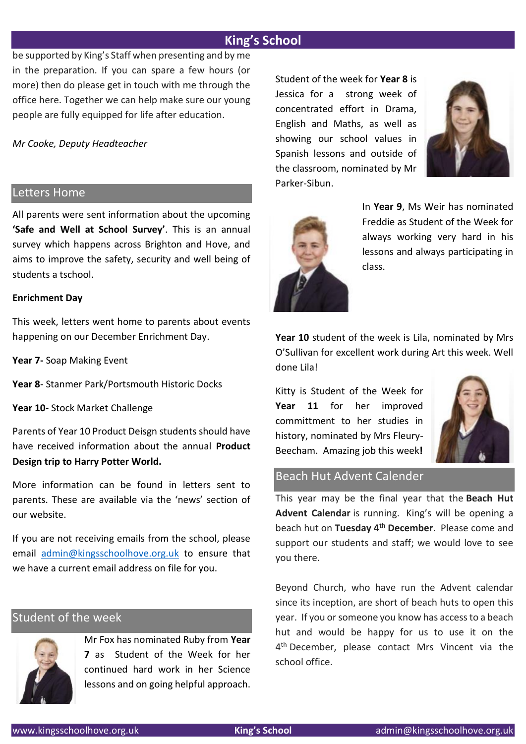# **King's School**

be supported by King's Staff when presenting and by me in the preparation. If you can spare a few hours (or more) then do please get in touch with me through the office here. Together we can help make sure our young people are fully equipped for life after education.

*Mr Cooke, Deputy Headteacher*

## Letters Home

All parents were sent information about the upcoming **'Safe and Well at School Survey'**. This is an annual survey which happens across Brighton and Hove, and aims to improve the safety, security and well being of students a tschool.

#### **Enrichment Day**

This week, letters went home to parents about events happening on our December Enrichment Day.

**Year 7-** Soap Making Event

**Year 8**- Stanmer Park/Portsmouth Historic Docks

**Year 10-** Stock Market Challenge

Parents of Year 10 Product Deisgn students should have have received information about the annual **Product Design trip to Harry Potter World.** 

More information can be found in letters sent to parents. These are available via the 'news' section of our website.

If you are not receiving emails from the school, please email [admin@kingsschoolhove.org.uk](mailto:admin@kingsschoolhove.org.uk) to ensure that we have a current email address on file for you.

## Student of the week



Mr Fox has nominated Ruby from **Year 7** as Student of the Week for her continued hard work in her Science lessons and on going helpful approach. Student of the week for **Year 8** is Jessica for a strong week of concentrated effort in Drama, English and Maths, as well as showing our school values in Spanish lessons and outside of the classroom, nominated by Mr Parker-Sibun.





In **Year 9**, Ms Weir has nominated Freddie as Student of the Week for always working very hard in his lessons and always participating in class.

**Year 10** student of the week is Lila, nominated by Mrs O'Sullivan for excellent work during Art this week. Well done Lila!

Kitty is Student of the Week for **Year 11** for her improved committment to her studies in history, nominated by Mrs Fleury-Beecham. Amazing job this week**!**



## Beach Hut Advent Calender

This year may be the final year that the **Beach Hut Advent Calendar** is running. King's will be opening a beach hut on **Tuesday 4th December**. Please come and support our students and staff; we would love to see you there.

Beyond Church, who have run the Advent calendar since its inception, are short of beach huts to open this year. If you or someone you know has access to a beach hut and would be happy for us to use it on the 4<sup>th</sup> December, please contact Mrs Vincent via the school office.